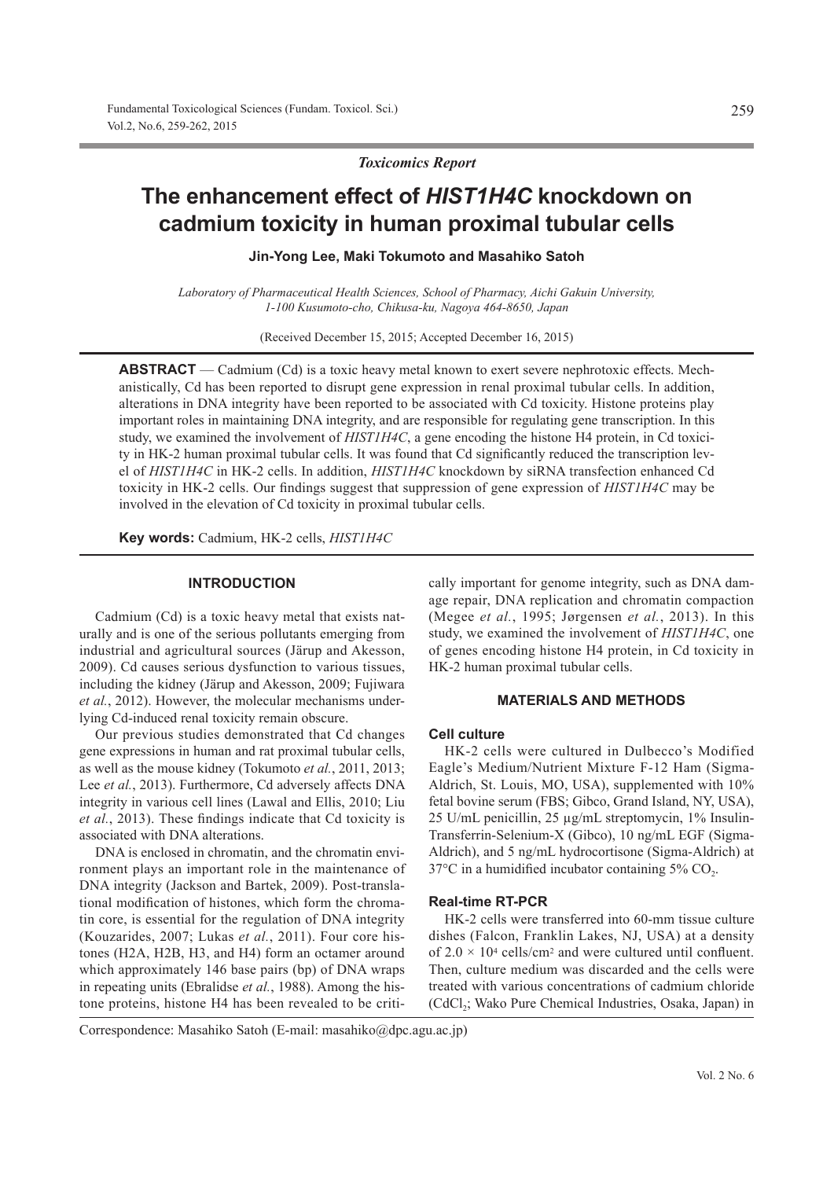*Toxicomics Report*

# **The enhancement effect of** *HIST1H4C* **knockdown on cadmium toxicity in human proximal tubular cells**

**Jin-Yong Lee, Maki Tokumoto and Masahiko Satoh**

*Laboratory of Pharmaceutical Health Sciences, School of Pharmacy, Aichi Gakuin University, 1-100 Kusumoto-cho, Chikusa-ku, Nagoya 464-8650, Japan*

(Received December 15, 2015; Accepted December 16, 2015)

**ABSTRACT** — Cadmium (Cd) is a toxic heavy metal known to exert severe nephrotoxic effects. Mechanistically, Cd has been reported to disrupt gene expression in renal proximal tubular cells. In addition, alterations in DNA integrity have been reported to be associated with Cd toxicity. Histone proteins play important roles in maintaining DNA integrity, and are responsible for regulating gene transcription. In this study, we examined the involvement of *HIST1H4C*, a gene encoding the histone H4 protein, in Cd toxicity in HK-2 human proximal tubular cells. It was found that Cd significantly reduced the transcription level of *HIST1H4C* in HK-2 cells. In addition, *HIST1H4C* knockdown by siRNA transfection enhanced Cd toxicity in HK-2 cells. Our findings suggest that suppression of gene expression of *HIST1H4C* may be involved in the elevation of Cd toxicity in proximal tubular cells.

**Key words:** Cadmium, HK-2 cells, *HIST1H4C*

#### **INTRODUCTION**

Cadmium (Cd) is a toxic heavy metal that exists naturally and is one of the serious pollutants emerging from industrial and agricultural sources (Järup and Akesson, 2009). Cd causes serious dysfunction to various tissues, including the kidney (Järup and Akesson, 2009; Fujiwara *et al.*, 2012). However, the molecular mechanisms underlying Cd-induced renal toxicity remain obscure.

Our previous studies demonstrated that Cd changes gene expressions in human and rat proximal tubular cells, as well as the mouse kidney (Tokumoto *et al.*, 2011, 2013; Lee *et al.*, 2013). Furthermore, Cd adversely affects DNA integrity in various cell lines (Lawal and Ellis, 2010; Liu *et al.*, 2013). These findings indicate that Cd toxicity is associated with DNA alterations.

DNA is enclosed in chromatin, and the chromatin environment plays an important role in the maintenance of DNA integrity (Jackson and Bartek, 2009). Post-translational modification of histones, which form the chromatin core, is essential for the regulation of DNA integrity (Kouzarides, 2007; Lukas *et al.*, 2011). Four core histones (H2A, H2B, H3, and H4) form an octamer around which approximately 146 base pairs (bp) of DNA wraps in repeating units (Ebralidse *et al.*, 1988). Among the histone proteins, histone H4 has been revealed to be critically important for genome integrity, such as DNA damage repair, DNA replication and chromatin compaction (Megee *et al.*, 1995; Jørgensen *et al.*, 2013). In this study, we examined the involvement of *HIST1H4C*, one of genes encoding histone H4 protein, in Cd toxicity in HK-2 human proximal tubular cells.

## **MATERIALS AND METHODS**

#### **Cell culture**

HK-2 cells were cultured in Dulbecco's Modified Eagle's Medium/Nutrient Mixture F-12 Ham (Sigma-Aldrich, St. Louis, MO, USA), supplemented with 10% fetal bovine serum (FBS; Gibco, Grand Island, NY, USA), 25 U/mL penicillin, 25 μg/mL streptomycin, 1% Insulin-Transferrin-Selenium-X (Gibco), 10 ng/mL EGF (Sigma-Aldrich), and 5 ng/mL hydrocortisone (Sigma-Aldrich) at  $37^{\circ}$ C in a humidified incubator containing 5% CO<sub>2</sub>.

#### **Real-time RT-PCR**

HK-2 cells were transferred into 60-mm tissue culture dishes (Falcon, Franklin Lakes, NJ, USA) at a density of  $2.0 \times 10^4$  cells/cm<sup>2</sup> and were cultured until confluent. Then, culture medium was discarded and the cells were treated with various concentrations of cadmium chloride (CdCl2; Wako Pure Chemical Industries, Osaka, Japan) in

Correspondence: Masahiko Satoh (E-mail: masahiko@dpc.agu.ac.jp)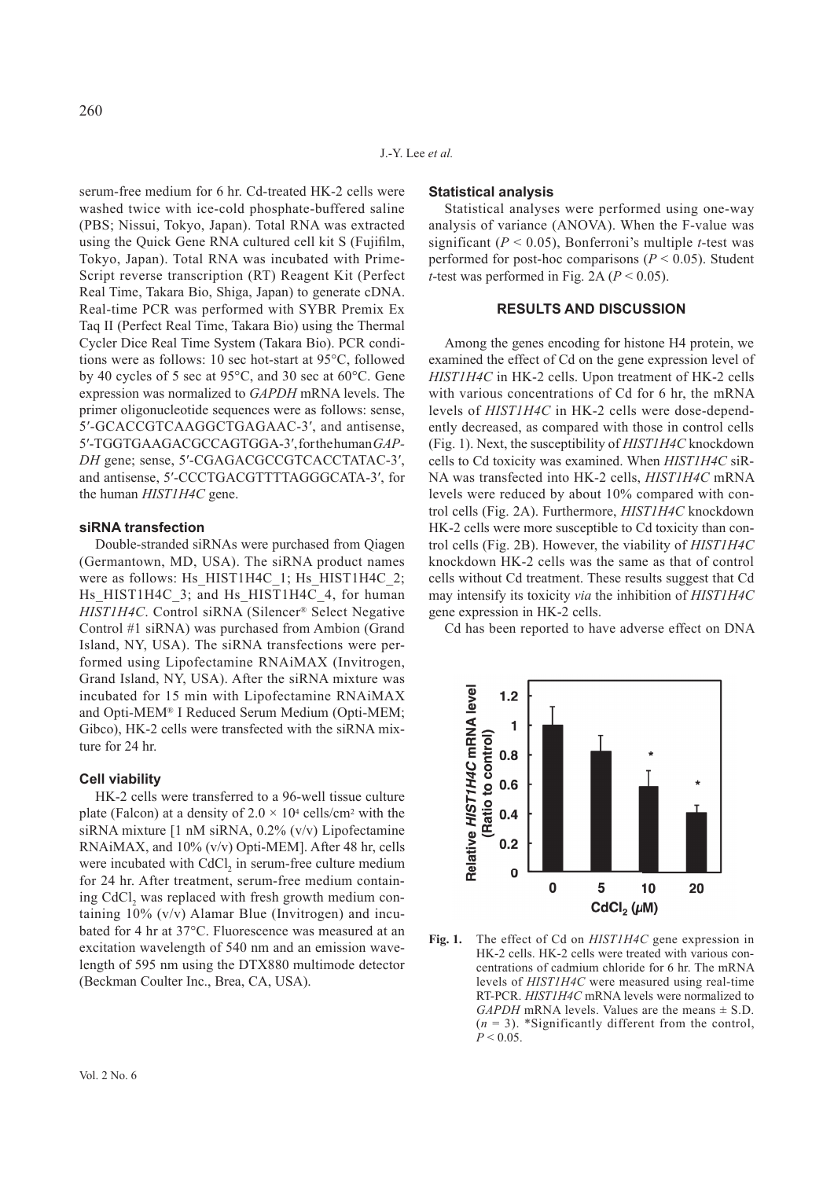serum-free medium for 6 hr. Cd-treated HK-2 cells were washed twice with ice-cold phosphate-buffered saline (PBS; Nissui, Tokyo, Japan). Total RNA was extracted using the Quick Gene RNA cultured cell kit S (Fujifilm, Tokyo, Japan). Total RNA was incubated with Prime-Script reverse transcription (RT) Reagent Kit (Perfect Real Time, Takara Bio, Shiga, Japan) to generate cDNA. Real-time PCR was performed with SYBR Premix Ex Taq II (Perfect Real Time, Takara Bio) using the Thermal Cycler Dice Real Time System (Takara Bio). PCR conditions were as follows: 10 sec hot-start at 95°C, followed by 40 cycles of 5 sec at 95°C, and 30 sec at 60°C. Gene expression was normalized to *GAPDH* mRNA levels. The primer oligonucleotide sequences were as follows: sense, 5′-GCACCGTCAAGGCTGAGAAC-3′, and antisense, 5′-TGGTGAAGACGCCAGTGGA-3′, for the human *GAP-DH* gene; sense, 5′-CGAGACGCCGTCACCTATAC-3′, and antisense, 5′-CCCTGACGTTTTAGGGCATA-3′, for the human *HIST1H4C* gene.

## **siRNA transfection**

Double-stranded siRNAs were purchased from Qiagen (Germantown, MD, USA). The siRNA product names were as follows: Hs\_HIST1H4C\_1; Hs\_HIST1H4C\_2; Hs HIST1H4C 3; and Hs HIST1H4C 4, for human *HIST1H4C*. Control siRNA (Silencer® Select Negative Control #1 siRNA) was purchased from Ambion (Grand Island, NY, USA). The siRNA transfections were performed using Lipofectamine RNAiMAX (Invitrogen, Grand Island, NY, USA). After the siRNA mixture was incubated for 15 min with Lipofectamine RNAiMAX and Opti-MEM® I Reduced Serum Medium (Opti-MEM; Gibco), HK-2 cells were transfected with the siRNA mixture for 24 hr.

#### **Cell viability**

HK-2 cells were transferred to a 96-well tissue culture plate (Falcon) at a density of  $2.0 \times 10^4$  cells/cm<sup>2</sup> with the siRNA mixture [1 nM siRNA, 0.2% (v/v) Lipofectamine RNAiMAX, and 10% (v/v) Opti-MEM]. After 48 hr, cells were incubated with CdCl<sub>2</sub> in serum-free culture medium for 24 hr. After treatment, serum-free medium containing CdCl<sub>2</sub> was replaced with fresh growth medium containing 10% (v/v) Alamar Blue (Invitrogen) and incubated for 4 hr at 37°C. Fluorescence was measured at an excitation wavelength of 540 nm and an emission wavelength of 595 nm using the DTX880 multimode detector (Beckman Coulter Inc., Brea, CA, USA).

#### **Statistical analysis**

Statistical analyses were performed using one-way analysis of variance (ANOVA). When the F-value was significant  $(P < 0.05)$ , Bonferroni's multiple *t*-test was performed for post-hoc comparisons  $(P < 0.05)$ . Student *t*-test was performed in Fig. 2A ( $P < 0.05$ ).

## **RESULTS AND DISCUSSION**

Among the genes encoding for histone H4 protein, we examined the effect of Cd on the gene expression level of *HIST1H4C* in HK-2 cells. Upon treatment of HK-2 cells with various concentrations of Cd for 6 hr, the mRNA levels of *HIST1H4C* in HK-2 cells were dose-dependently decreased, as compared with those in control cells (Fig. 1). Next, the susceptibility of *HIST1H4C* knockdown cells to Cd toxicity was examined. When *HIST1H4C* siR-NA was transfected into HK-2 cells, *HIST1H4C* mRNA levels were reduced by about 10% compared with control cells (Fig. 2A). Furthermore, *HIST1H4C* knockdown HK-2 cells were more susceptible to Cd toxicity than control cells (Fig. 2B). However, the viability of *HIST1H4C* knockdown HK-2 cells was the same as that of control cells without Cd treatment. These results suggest that Cd may intensify its toxicity *via* the inhibition of *HIST1H4C* gene expression in HK-2 cells.

Cd has been reported to have adverse effect on DNA



**Fig. 1.** The effect of Cd on *HIST1H4C* gene expression in HK-2 cells. HK-2 cells were treated with various concentrations of cadmium chloride for 6 hr. The mRNA levels of *HIST1H4C* were measured using real-time RT-PCR. *HIST1H4C* mRNA levels were normalized to *GAPDH* mRNA levels. Values are the means  $\pm$  S.D.  $(n = 3)$ . \*Significantly different from the control,  $P < 0.05$ .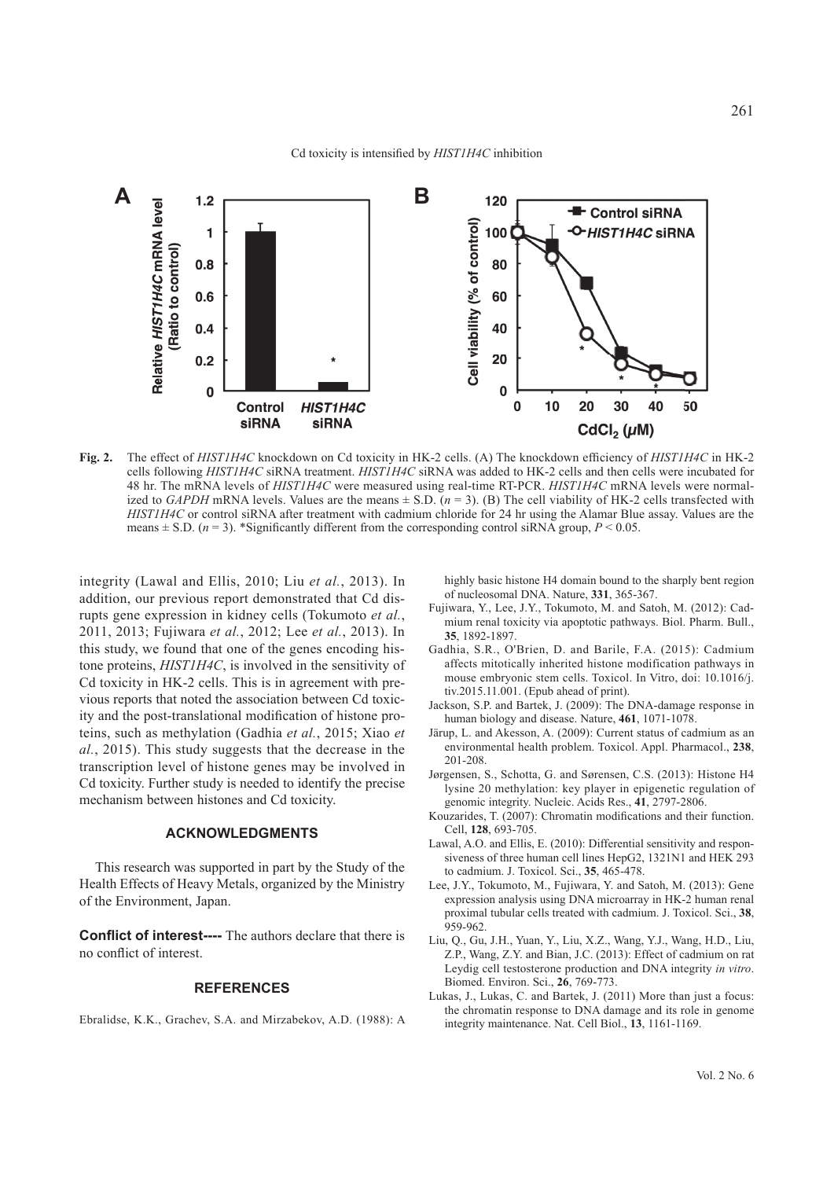

Fig. 2. The effect of *HIST1H4C* knockdown on Cd toxicity in HK-2 cells. (A) The knockdown efficiency of *HIST1H4C* in HK-2 cells following *HIST1H4C* siRNA treatment. *HIST1H4C* siRNA was added to HK-2 cells and then cells were incubated for 48 hr. The mRNA levels of *HIST1H4C* were measured using real-time RT-PCR. *HIST1H4C* mRNA levels were normalized to *GAPDH* mRNA levels. Values are the means  $\pm$  S.D.  $(n=3)$ . (B) The cell viability of HK-2 cells transfected with *HIST1H4C* or control siRNA after treatment with cadmium chloride for 24 hr using the Alamar Blue assay. Values are the means  $\pm$  S.D. ( $n = 3$ ). \*Significantly different from the corresponding control siRNA group,  $P$  < 0.05.

integrity (Lawal and Ellis, 2010; Liu *et al.*, 2013). In addition, our previous report demonstrated that Cd disrupts gene expression in kidney cells (Tokumoto *et al.*, 2011, 2013; Fujiwara *et al.*, 2012; Lee *et al.*, 2013). In this study, we found that one of the genes encoding histone proteins, *HIST1H4C*, is involved in the sensitivity of Cd toxicity in HK-2 cells. This is in agreement with previous reports that noted the association between Cd toxicity and the post-translational modification of histone proteins, such as methylation (Gadhia *et al.*, 2015; Xiao *et al.*, 2015). This study suggests that the decrease in the transcription level of histone genes may be involved in Cd toxicity. Further study is needed to identify the precise mechanism between histones and Cd toxicity.

### **ACKNOWLEDGMENTS**

This research was supported in part by the Study of the Health Effects of Heavy Metals, organized by the Ministry of the Environment, Japan.

**Conflict of interest----** The authors declare that there is no conflict of interest.

### **REFERENCES**

Ebralidse, K.K., Grachev, S.A. and Mirzabekov, A.D. (1988): A

highly basic histone H4 domain bound to the sharply bent region of nucleosomal DNA. Nature, **331**, 365-367.

- Fujiwara, Y., Lee, J.Y., Tokumoto, M. and Satoh, M. (2012): Cadmium renal toxicity via apoptotic pathways. Biol. Pharm. Bull., **35**, 1892-1897.
- Gadhia, S.R., O'Brien, D. and Barile, F.A. (2015): Cadmium affects mitotically inherited histone modification pathways in mouse embryonic stem cells. Toxicol. In Vitro, doi: 10.1016/j. tiv.2015.11.001. (Epub ahead of print).
- Jackson, S.P. and Bartek, J. (2009): The DNA-damage response in human biology and disease. Nature, **461**, 1071-1078.
- Järup, L. and Akesson, A. (2009): Current status of cadmium as an environmental health problem. Toxicol. Appl. Pharmacol., **238**, 201-208.
- Jørgensen, S., Schotta, G. and Sørensen, C.S. (2013): Histone H4 lysine 20 methylation: key player in epigenetic regulation of genomic integrity. Nucleic. Acids Res., **41**, 2797-2806.
- Kouzarides, T. (2007): Chromatin modifications and their function. Cell, **128**, 693-705.
- Lawal, A.O. and Ellis, E. (2010): Differential sensitivity and responsiveness of three human cell lines HepG2, 1321N1 and HEK 293 to cadmium. J. Toxicol. Sci., **35**, 465 -478.
- Lee, J.Y., Tokumoto, M., Fujiwara, Y. and Satoh, M. (2013): Gene expression analysis using DNA microarray in HK-2 human renal proximal tubular cells treated with cadmium. J. Toxicol. Sci., **38**, 959-962.
- Liu, Q., Gu, J.H., Yuan, Y., Liu, X.Z., Wang, Y.J., Wang, H.D., Liu, Z.P., Wang, Z.Y. and Bian, J.C. (2013): Effect of cadmium on rat Leydig cell testosterone production and DNA integrity *in vitro*. Biomed. Environ. Sci., **26**, 769-773.
- Lukas, J., Lukas, C. and Bartek, J. (2011) More than just a focus: the chromatin response to DNA damage and its role in genome integrity maintenance. Nat. Cell Biol., **13**, 1161-1169.